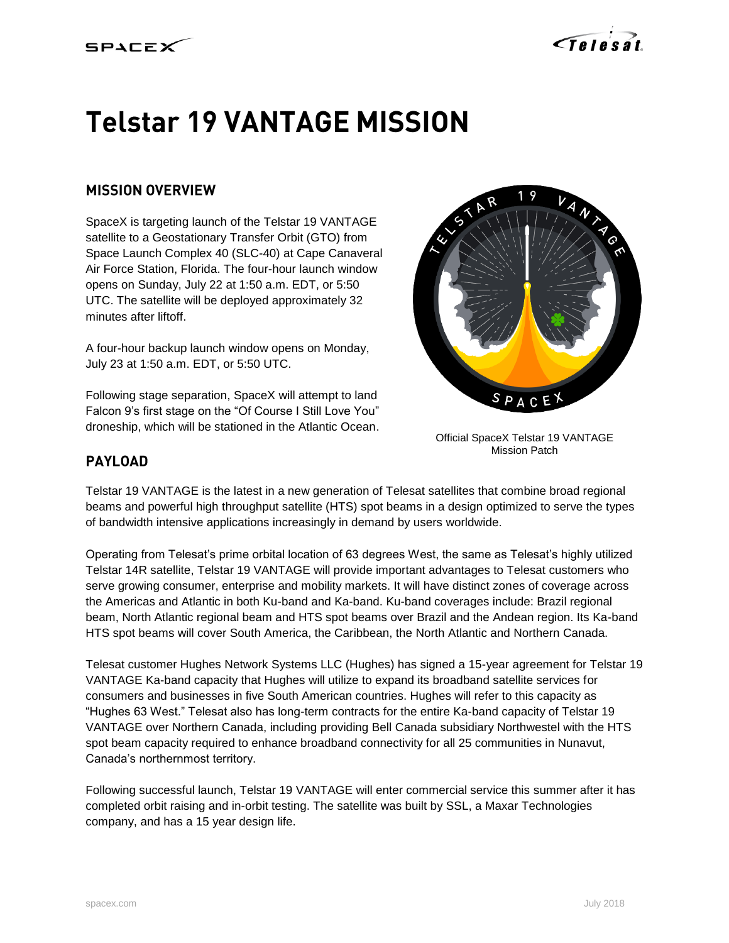



# **Telstar 19 VANTAGE MISSION**

## **MISSION OVERVIEW**

SpaceX is targeting launch of the Telstar 19 VANTAGE satellite to a Geostationary Transfer Orbit (GTO) from Space Launch Complex 40 (SLC-40) at Cape Canaveral Air Force Station, Florida. The four-hour launch window opens on Sunday, July 22 at 1:50 a.m. EDT, or 5:50 UTC. The satellite will be deployed approximately 32 minutes after liftoff.

A four-hour backup launch window opens on Monday, July 23 at 1:50 a.m. EDT, or 5:50 UTC.

Following stage separation, SpaceX will attempt to land Falcon 9's first stage on the "Of Course I Still Love You" droneship, which will be stationed in the Atlantic Ocean.



Official SpaceX Telstar 19 VANTAGE Mission Patch

## **PAYLOAD**

Telstar 19 VANTAGE is the latest in a new generation of Telesat satellites that combine broad regional beams and powerful high throughput satellite (HTS) spot beams in a design optimized to serve the types of bandwidth intensive applications increasingly in demand by users worldwide.

Operating from Telesat's prime orbital location of 63 degrees West, the same as Telesat's highly utilized Telstar 14R satellite, Telstar 19 VANTAGE will provide important advantages to Telesat customers who serve growing consumer, enterprise and mobility markets. It will have distinct zones of coverage across the Americas and Atlantic in both Ku-band and Ka-band. Ku-band coverages include: Brazil regional beam, North Atlantic regional beam and HTS spot beams over Brazil and the Andean region. Its Ka-band HTS spot beams will cover South America, the Caribbean, the North Atlantic and Northern Canada.

Telesat customer Hughes Network Systems LLC (Hughes) has signed a 15-year agreement for Telstar 19 VANTAGE Ka-band capacity that Hughes will utilize to expand its broadband satellite services for consumers and businesses in five South American countries. Hughes will refer to this capacity as "Hughes 63 West." Telesat also has long-term contracts for the entire Ka-band capacity of Telstar 19 VANTAGE over Northern Canada, including providing Bell Canada subsidiary Northwestel with the HTS spot beam capacity required to enhance broadband connectivity for all 25 communities in Nunavut, Canada's northernmost territory.

Following successful launch, Telstar 19 VANTAGE will enter commercial service this summer after it has completed orbit raising and in-orbit testing. The satellite was built by SSL, a Maxar Technologies company, and has a 15 year design life.